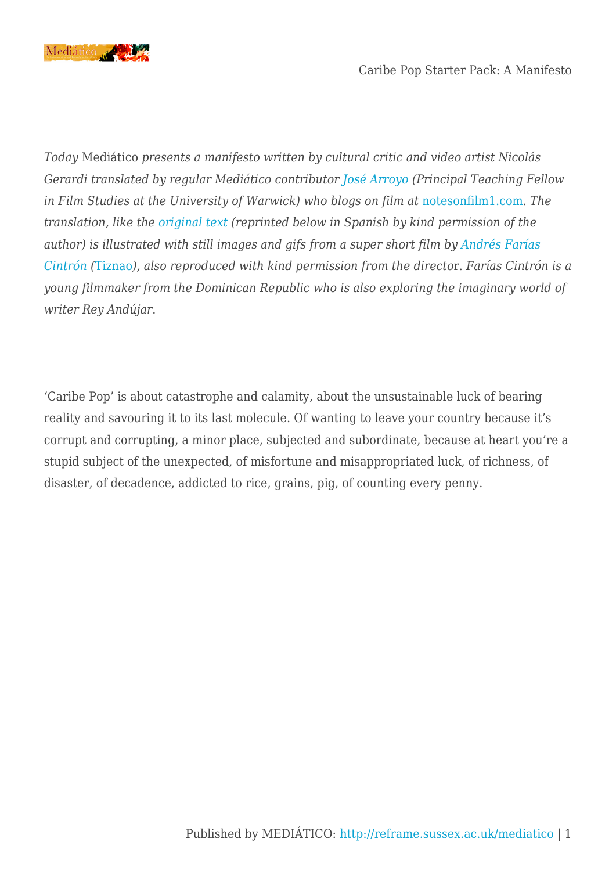

*Today* Mediático *presents a manifesto written by cultural critic and video artist Nicolás Gerardi translated by regular Mediático contributor [José Arroyo](http://www2.warwick.ac.uk/fac/arts/film/staff/arroyo/) (Principal Teaching Fellow in Film Studies at the University of Warwick) who blogs on film at* [notesonfilm1.com](http://notesonfilm1.com/)*. The translation, like the [original text](http://textvra.net/caribe-pop-starter-pack/) (reprinted below in Spanish by kind permission of the author) is illustrated with still images and gifs from a super short film by [Andrés Farías](https://vimeo.com/andresfc) [Cintrón](https://vimeo.com/andresfc) (*[Tiznao](https://www.facebook.com/tiznao2015)*), also reproduced with kind permission from the directo*r. *Farías Cintrón is a young filmmaker from the Dominican Republic who is also exploring the imaginary world of writer Rey Andújar*.

'Caribe Pop' is about catastrophe and calamity, about the unsustainable luck of bearing reality and savouring it to its last molecule. Of wanting to leave your country because it's corrupt and corrupting, a minor place, subjected and subordinate, because at heart you're a stupid subject of the unexpected, of misfortune and misappropriated luck, of richness, of disaster, of decadence, addicted to rice, grains, pig, of counting every penny.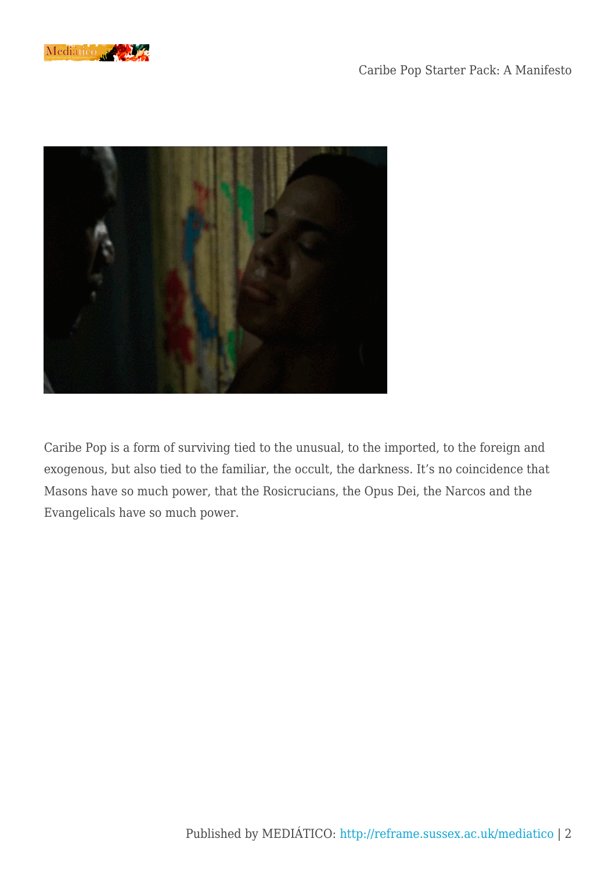



Caribe Pop is a form of surviving tied to the unusual, to the imported, to the foreign and exogenous, but also tied to the familiar, the occult, the darkness. It's no coincidence that Masons have so much power, that the Rosicrucians, the Opus Dei, the Narcos and the Evangelicals have so much power.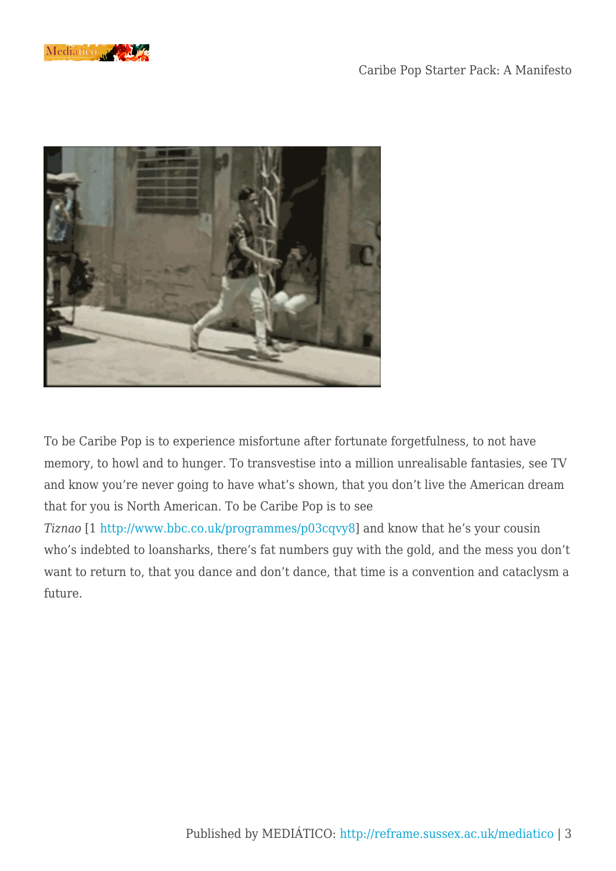



To be Caribe Pop is to experience misfortune after fortunate forgetfulness, to not have memory, to howl and to hunger. To transvestise into a million unrealisable fantasies, see TV and know you're never going to have what's shown, that you don't live the American dream that for you is North American. To be Caribe Pop is to see

*Tiznao* [1 [http://www.bbc.co.uk/programmes/p03cqvy8](https://exchange.sussex.ac.uk/owa/redir.aspx?SURL=jH6XGcX01XM7CjSQOmZlKtsMDbE-EB1FvsPLmJW4ttG6NMzpDjfTCGgAdAB0AHAAOgAvAC8AdwB3AHcALgBiAGIAYwAuAGMAbwAuAHUAawAvAHAAcgBvAGcAcgBhAG0AbQBlAHMALwBwADAAMwBjAHEAdgB5ADgA&URL=http%3a%2f%2fwww.bbc.co.uk%2fprogrammes%2fp03cqvy8)] and know that he's your cousin who's indebted to loansharks, there's fat numbers guy with the gold, and the mess you don't want to return to, that you dance and don't dance, that time is a convention and cataclysm a future.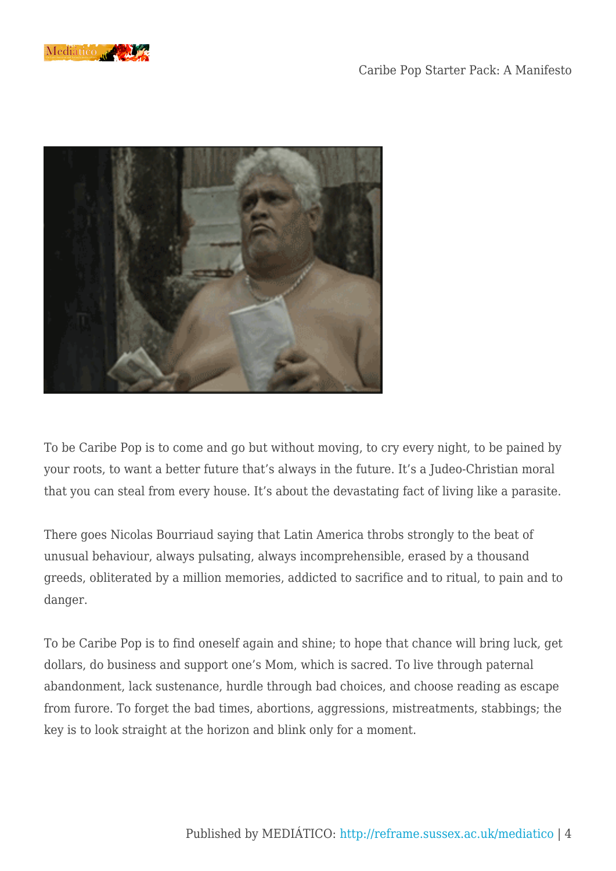



To be Caribe Pop is to come and go but without moving, to cry every night, to be pained by your roots, to want a better future that's always in the future. It's a Judeo-Christian moral that you can steal from every house. It's about the devastating fact of living like a parasite.

There goes Nicolas Bourriaud saying that Latin America throbs strongly to the beat of unusual behaviour, always pulsating, always incomprehensible, erased by a thousand greeds, obliterated by a million memories, addicted to sacrifice and to ritual, to pain and to danger.

To be Caribe Pop is to find oneself again and shine; to hope that chance will bring luck, get dollars, do business and support one's Mom, which is sacred. To live through paternal abandonment, lack sustenance, hurdle through bad choices, and choose reading as escape from furore. To forget the bad times, abortions, aggressions, mistreatments, stabbings; the key is to look straight at the horizon and blink only for a moment.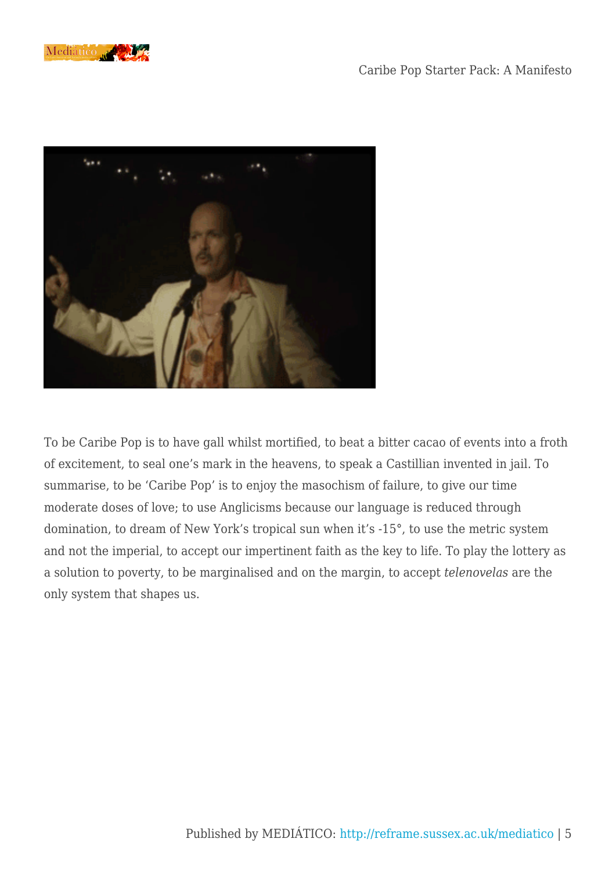



To be Caribe Pop is to have gall whilst mortified, to beat a bitter cacao of events into a froth of excitement, to seal one's mark in the heavens, to speak a Castillian invented in jail. To summarise, to be 'Caribe Pop' is to enjoy the masochism of failure, to give our time moderate doses of love; to use Anglicisms because our language is reduced through domination, to dream of New York's tropical sun when it's -15°, to use the metric system and not the imperial, to accept our impertinent faith as the key to life. To play the lottery as a solution to poverty, to be marginalised and on the margin, to accept *telenovelas* are the only system that shapes us.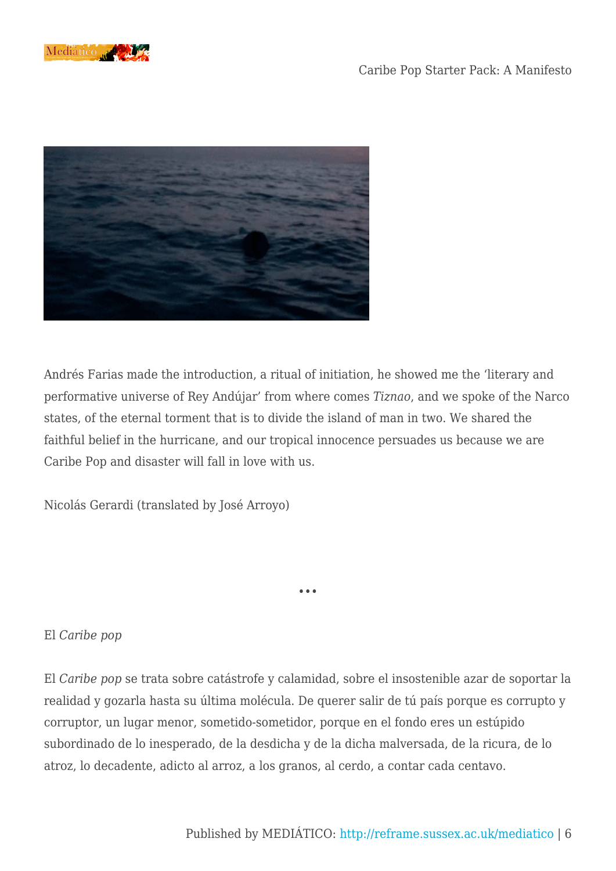



Andrés Farias made the introduction, a ritual of initiation, he showed me the 'literary and performative universe of Rey Andújar' from where comes *Tiznao*, and we spoke of the Narco states, of the eternal torment that is to divide the island of man in two. We shared the faithful belief in the hurricane, and our tropical innocence persuades us because we are Caribe Pop and disaster will fall in love with us.

Nicolás Gerardi (translated by José Arroyo)

## El *Caribe pop*

El *Caribe pop* se trata sobre catástrofe y calamidad, sobre el insostenible azar de soportar la realidad y gozarla hasta su última molécula. De querer salir de tú país porque es corrupto y corruptor, un lugar menor, sometido-sometidor, porque en el fondo eres un estúpido subordinado de lo inesperado, de la desdicha y de la dicha malversada, de la ricura, de lo atroz, lo decadente, adicto al arroz, a los granos, al cerdo, a contar cada centavo.

•••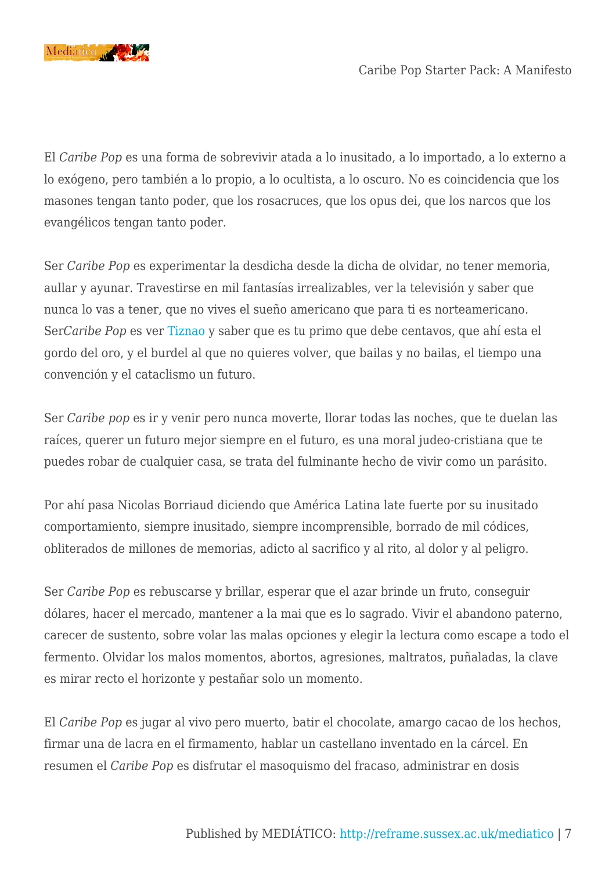

El *Caribe Pop* es una forma de sobrevivir atada a lo inusitado, a lo importado, a lo externo a lo exógeno, pero también a lo propio, a lo ocultista, a lo oscuro. No es coincidencia que los masones tengan tanto poder, que los rosacruces, que los opus dei, que los narcos que los evangélicos tengan tanto poder.

Ser *Caribe Pop* es experimentar la desdicha desde la dicha de olvidar, no tener memoria, aullar y ayunar. Travestirse en mil fantasías irrealizables, ver la televisión y saber que nunca lo vas a tener, que no vives el sueño americano que para ti es norteamericano. Ser*Caribe Pop* es ver [Tiznao](https://www.facebook.com/tiznao2015/timeline) y saber que es tu primo que debe centavos, que ahí esta el gordo del oro, y el burdel al que no quieres volver, que bailas y no bailas, el tiempo una convención y el cataclismo un futuro.

Ser *Caribe pop* es ir y venir pero nunca moverte, llorar todas las noches, que te duelan las raíces, querer un futuro mejor siempre en el futuro, es una moral judeo-cristiana que te puedes robar de cualquier casa, se trata del fulminante hecho de vivir como un parásito.

Por ahí pasa Nicolas Borriaud diciendo que América Latina late fuerte por su inusitado comportamiento, siempre inusitado, siempre incomprensible, borrado de mil códices, obliterados de millones de memorias, adicto al sacrifico y al rito, al dolor y al peligro.

Ser *Caribe Pop* es rebuscarse y brillar, esperar que el azar brinde un fruto, conseguir dólares, hacer el mercado, mantener a la mai que es lo sagrado. Vivir el abandono paterno, carecer de sustento, sobre volar las malas opciones y elegir la lectura como escape a todo el fermento. Olvidar los malos momentos, abortos, agresiones, maltratos, puñaladas, la clave es mirar recto el horizonte y pestañar solo un momento.

El *Caribe Pop* es jugar al vivo pero muerto, batir el chocolate, amargo cacao de los hechos, firmar una de lacra en el firmamento, hablar un castellano inventado en la cárcel. En resumen el *Caribe Pop* es disfrutar el masoquismo del fracaso, administrar en dosis